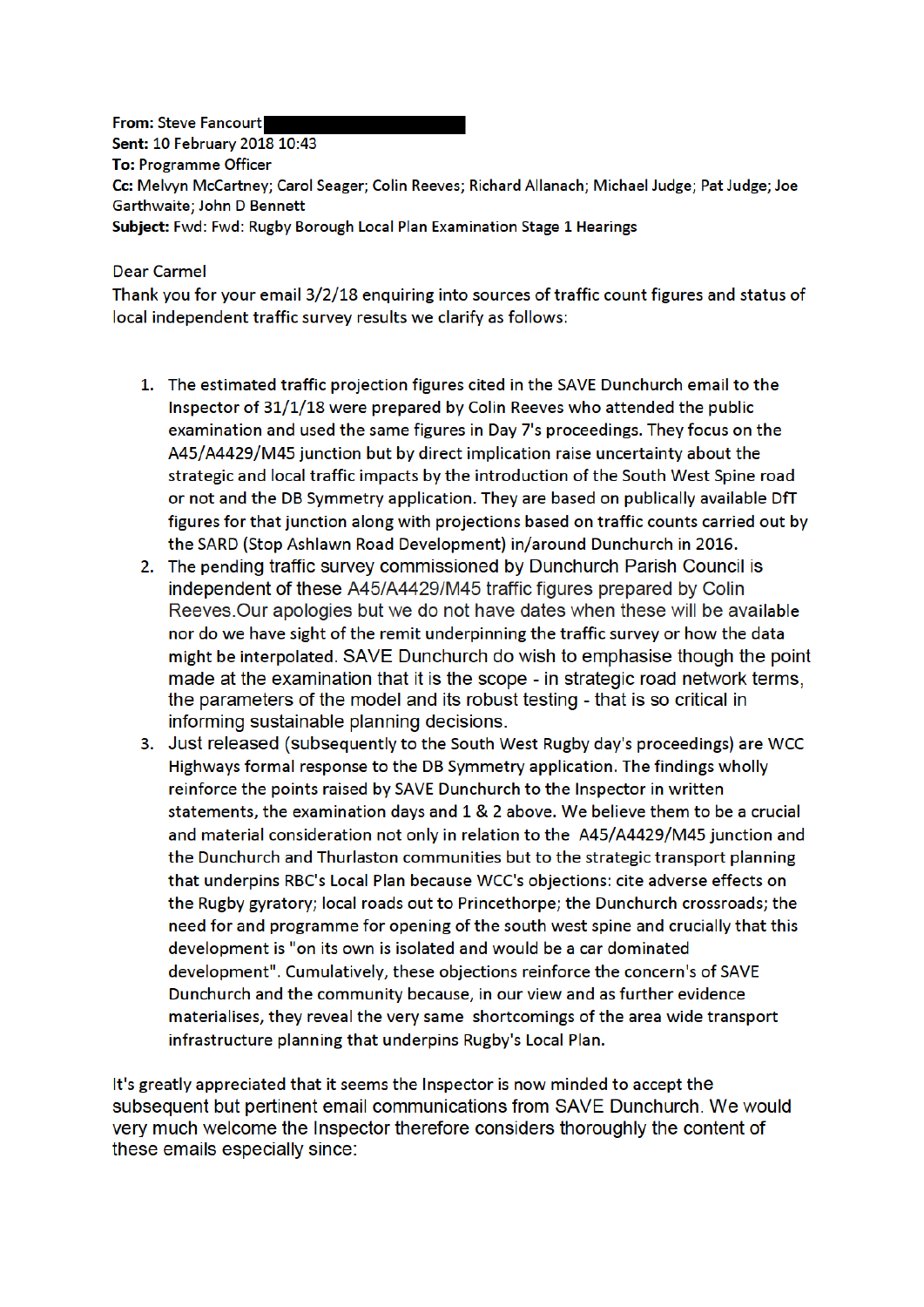**From: Steve Fancourt** Sent: 10 February 2018 10:43 **To: Programme Officer** Cc: Melvyn McCartney; Carol Seager; Colin Reeves; Richard Allanach; Michael Judge; Pat Judge; Joe Garthwaite; John D Bennett Subject: Fwd: Fwd: Rugby Borough Local Plan Examination Stage 1 Hearings

## **Dear Carmel**

Thank you for your email 3/2/18 enquiring into sources of traffic count figures and status of local independent traffic survey results we clarify as follows:

- 1. The estimated traffic projection figures cited in the SAVE Dunchurch email to the Inspector of 31/1/18 were prepared by Colin Reeves who attended the public examination and used the same figures in Day 7's proceedings. They focus on the A45/A4429/M45 junction but by direct implication raise uncertainty about the strategic and local traffic impacts by the introduction of the South West Spine road or not and the DB Symmetry application. They are based on publically available DfT figures for that junction along with projections based on traffic counts carried out by the SARD (Stop Ashlawn Road Development) in/around Dunchurch in 2016.
- 2. The pending traffic survey commissioned by Dunchurch Parish Council is independent of these A45/A4429/M45 traffic figures prepared by Colin Reeves. Our apologies but we do not have dates when these will be available nor do we have sight of the remit underpinning the traffic survey or how the data might be interpolated. SAVE Dunchurch do wish to emphasise though the point made at the examination that it is the scope - in strategic road network terms. the parameters of the model and its robust testing - that is so critical in informing sustainable planning decisions.
- 3. Just released (subsequently to the South West Rugby day's proceedings) are WCC Highways formal response to the DB Symmetry application. The findings wholly reinforce the points raised by SAVE Dunchurch to the Inspector in written statements, the examination days and 1 & 2 above. We believe them to be a crucial and material consideration not only in relation to the A45/A4429/M45 junction and the Dunchurch and Thurlaston communities but to the strategic transport planning that underpins RBC's Local Plan because WCC's objections: cite adverse effects on the Rugby gyratory; local roads out to Princethorpe; the Dunchurch crossroads; the need for and programme for opening of the south west spine and crucially that this development is "on its own is isolated and would be a car dominated development". Cumulatively, these objections reinforce the concern's of SAVE Dunchurch and the community because, in our view and as further evidence materialises, they reveal the very same shortcomings of the area wide transport infrastructure planning that underpins Rugby's Local Plan.

It's greatly appreciated that it seems the Inspector is now minded to accept the subsequent but pertinent email communications from SAVE Dunchurch. We would verv much welcome the Inspector therefore considers thoroughly the content of these emails especially since: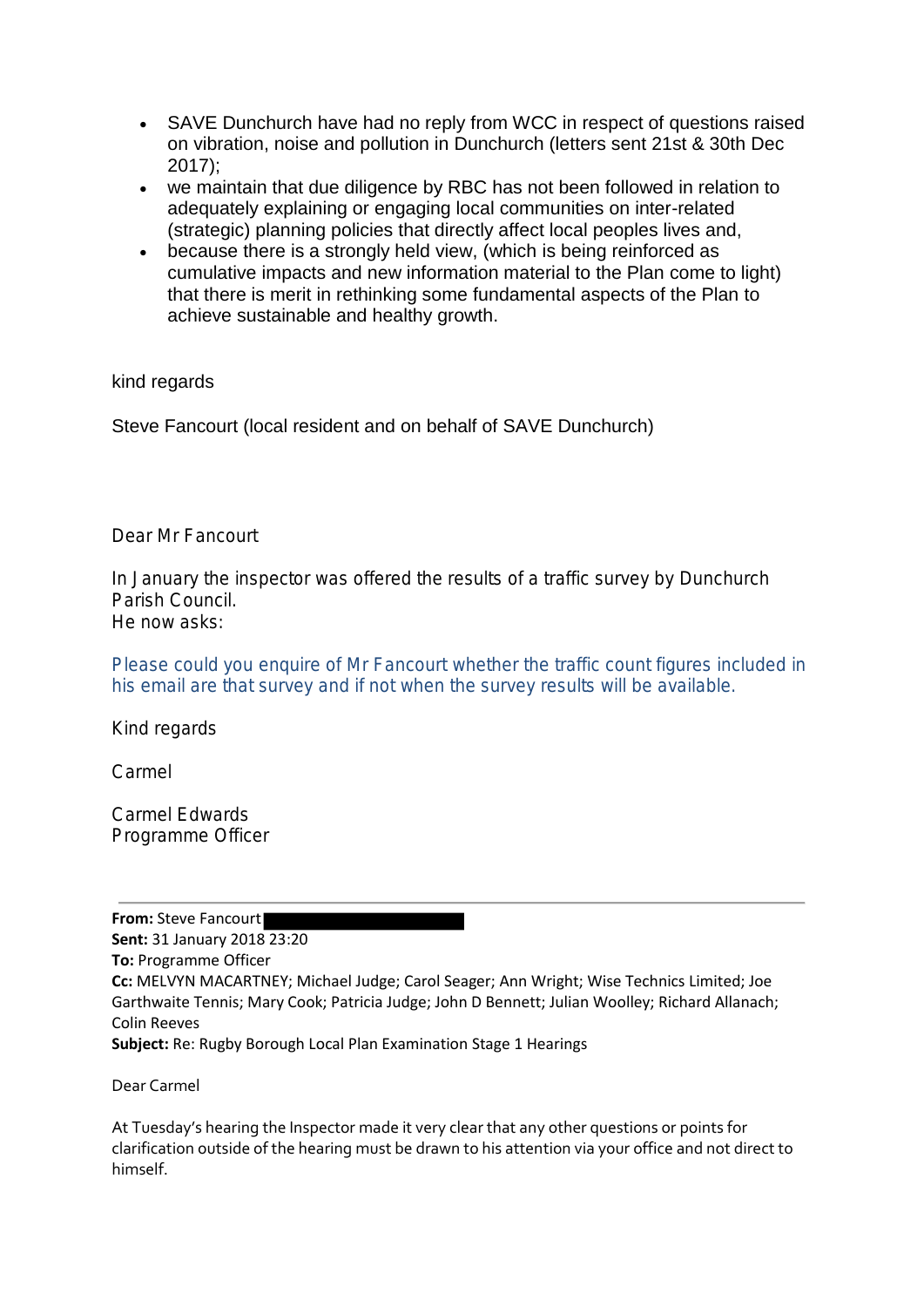- SAVE Dunchurch have had no reply from WCC in respect of questions raised on vibration, noise and pollution in Dunchurch (letters sent 21st & 30th Dec 2017);
- we maintain that due diligence by RBC has not been followed in relation to adequately explaining or engaging local communities on inter-related (strategic) planning policies that directly affect local peoples lives and,
- because there is a strongly held view, (which is being reinforced as cumulative impacts and new information material to the Plan come to light) that there is merit in rethinking some fundamental aspects of the Plan to achieve sustainable and healthy growth.

# kind regards

Steve Fancourt (local resident and on behalf of SAVE Dunchurch)

Dear Mr Fancourt

In January the inspector was offered the results of a traffic survey by Dunchurch Parish Council.

He now asks:

Please could you enquire of Mr Fancourt whether the traffic count figures included in his email are that survey and if not when the survey results will be available.

Kind regards

Carmel

Carmel Edwards Programme Officer

#### **From:** Steve Fancourt

**Sent:** 31 January 2018 23:20 **To:** Programme Officer **Cc:** MELVYN MACARTNEY; Michael Judge; Carol Seager; Ann Wright; Wise Technics Limited; Joe Garthwaite Tennis; Mary Cook; Patricia Judge; John D Bennett; Julian Woolley; Richard Allanach; Colin Reeves **Subject:** Re: Rugby Borough Local Plan Examination Stage 1 Hearings

Dear Carmel

At Tuesday's hearing the Inspector made it very clear that any other questions or points for clarification outside of the hearing must be drawn to his attention via your office and not direct to himself.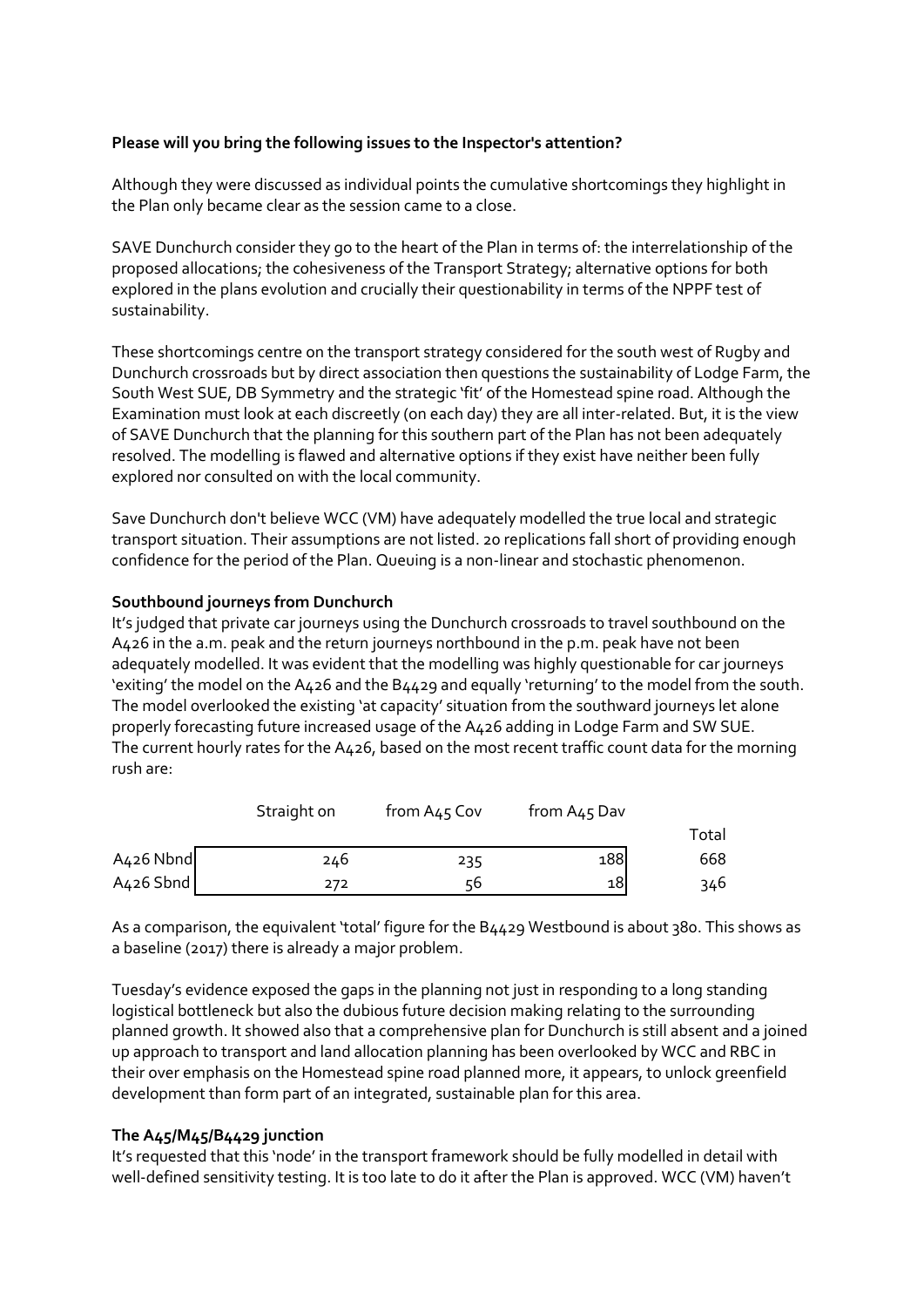## **Please will you bring the following issues to the Inspector's attention?**

Although they were discussed as individual points the cumulative shortcomings they highlight in the Plan only became clear as the session came to a close.

SAVE Dunchurch consider they go to the heart of the Plan in terms of: the interrelationship of the proposed allocations; the cohesiveness of the Transport Strategy; alternative options for both explored in the plans evolution and crucially their questionability in terms of the NPPF test of sustainability.

These shortcomings centre on the transport strategy considered for the south west of Rugby and Dunchurch crossroads but by direct association then questions the sustainability of Lodge Farm, the South West SUE, DB Symmetry and the strategic 'fit' of the Homestead spine road. Although the Examination must look at each discreetly (on each day) they are all inter-related. But, it is the view of SAVE Dunchurch that the planning for this southern part of the Plan has not been adequately resolved. The modelling is flawed and alternative options if they exist have neither been fully explored nor consulted on with the local community.

Save Dunchurch don't believe WCC (VM) have adequately modelled the true local and strategic transport situation. Their assumptions are not listed. 20 replications fall short of providing enough confidence for the period of the Plan. Queuing is a non-linear and stochastic phenomenon.

### **Southbound journeys from Dunchurch**

It's judged that private car journeys using the Dunchurch crossroads to travel southbound on the A426 in the a.m. peak and the return journeys northbound in the p.m. peak have not been adequately modelled. It was evident that the modelling was highly questionable for car journeys 'exiting' the model on the A426 and the B4429 and equally 'returning' to the model from the south. The model overlooked the existing 'at capacity' situation from the southward journeys let alone properly forecasting future increased usage of the A426 adding in Lodge Farm and SW SUE. The current hourly rates for the A426, based on the most recent traffic count data for the morning rush are:

|             | Straight on | from A45 Cov | from A45 Dav |       |
|-------------|-------------|--------------|--------------|-------|
|             |             |              |              | Total |
| $A426$ Nbnd | 246         | 235          | 188          | 668   |
| $A426$ Sbnd | 272         | 56           | 18           | 346   |

As a comparison, the equivalent 'total' figure for the B4429 Westbound is about 380. This shows as a baseline (2017) there is already a major problem.

Tuesday's evidence exposed the gaps in the planning not just in responding to a long standing logistical bottleneck but also the dubious future decision making relating to the surrounding planned growth. It showed also that a comprehensive plan for Dunchurch is still absent and a joined up approach to transport and land allocation planning has been overlooked by WCC and RBC in their over emphasis on the Homestead spine road planned more, it appears, to unlock greenfield development than form part of an integrated, sustainable plan for this area.

#### **The A45/M45/B4429 junction**

It's requested that this 'node' in the transport framework should be fully modelled in detail with well-defined sensitivity testing. It is too late to do it after the Plan is approved. WCC (VM) haven't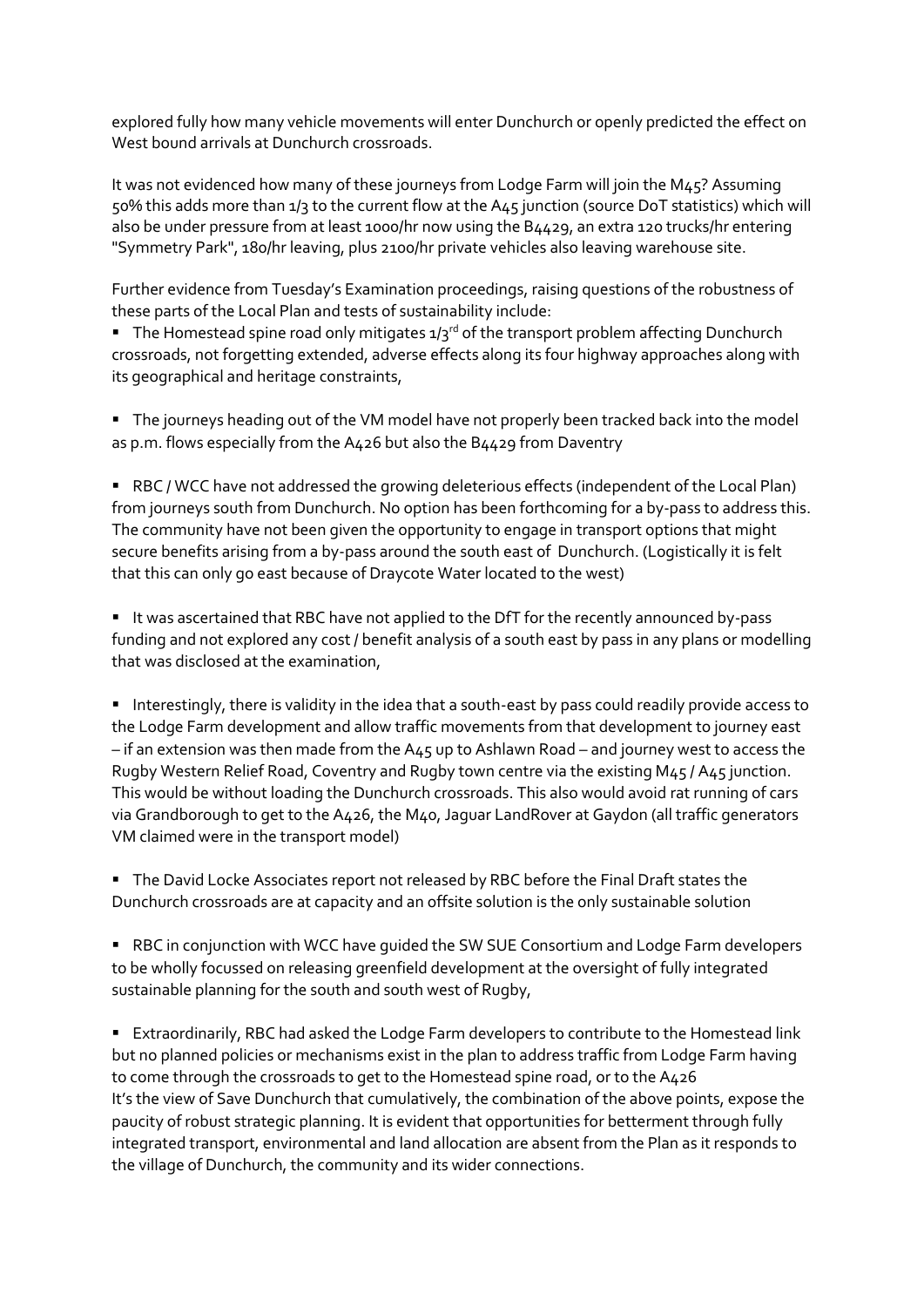explored fully how many vehicle movements will enter Dunchurch or openly predicted the effect on West bound arrivals at Dunchurch crossroads.

It was not evidenced how many of these journeys from Lodge Farm will join the M45? Assuming 50% this adds more than 1/3 to the current flow at the A45 junction (source DoT statistics) which will also be under pressure from at least 1000/hr now using the B4429, an extra 120 trucks/hr entering "Symmetry Park", 180/hr leaving, plus 2100/hr private vehicles also leaving warehouse site.

Further evidence from Tuesday's Examination proceedings, raising questions of the robustness of these parts of the Local Plan and tests of sustainability include:

**E** The Homestead spine road only mitigates  $1/3^{rd}$  of the transport problem affecting Dunchurch crossroads, not forgetting extended, adverse effects along its four highway approaches along with its geographical and heritage constraints,

■ The journeys heading out of the VM model have not properly been tracked back into the model as p.m. flows especially from the A426 but also the B4429 from Daventry

■ RBC / WCC have not addressed the growing deleterious effects (independent of the Local Plan) from journeys south from Dunchurch. No option has been forthcoming for a by-pass to address this. The community have not been given the opportunity to engage in transport options that might secure benefits arising from a by-pass around the south east of Dunchurch. (Logistically it is felt that this can only go east because of Draycote Water located to the west)

■ It was ascertained that RBC have not applied to the DfT for the recently announced by-pass funding and not explored any cost / benefit analysis of a south east by pass in any plans or modelling that was disclosed at the examination,

■ Interestingly, there is validity in the idea that a south-east by pass could readily provide access to the Lodge Farm development and allow traffic movements from that development to journey east – if an extension was then made from the A45 up to Ashlawn Road – and journey west to access the Rugby Western Relief Road, Coventry and Rugby town centre via the existing M45 / A45 junction. This would be without loading the Dunchurch crossroads. This also would avoid rat running of cars via Grandborough to get to the A426, the M40, Jaguar LandRover at Gaydon (all traffic generators VM claimed were in the transport model)

■ The David Locke Associates report not released by RBC before the Final Draft states the Dunchurch crossroads are at capacity and an offsite solution is the only sustainable solution

■ RBC in conjunction with WCC have quided the SW SUE Consortium and Lodge Farm developers to be wholly focussed on releasing greenfield development at the oversight of fully integrated sustainable planning for the south and south west of Rugby,

■ Extraordinarily, RBC had asked the Lodge Farm developers to contribute to the Homestead link but no planned policies or mechanisms exist in the plan to address traffic from Lodge Farm having to come through the crossroads to get to the Homestead spine road, or to the A426 It's the view of Save Dunchurch that cumulatively, the combination of the above points, expose the paucity of robust strategic planning. It is evident that opportunities for betterment through fully integrated transport, environmental and land allocation are absent from the Plan as it responds to the village of Dunchurch, the community and its wider connections.